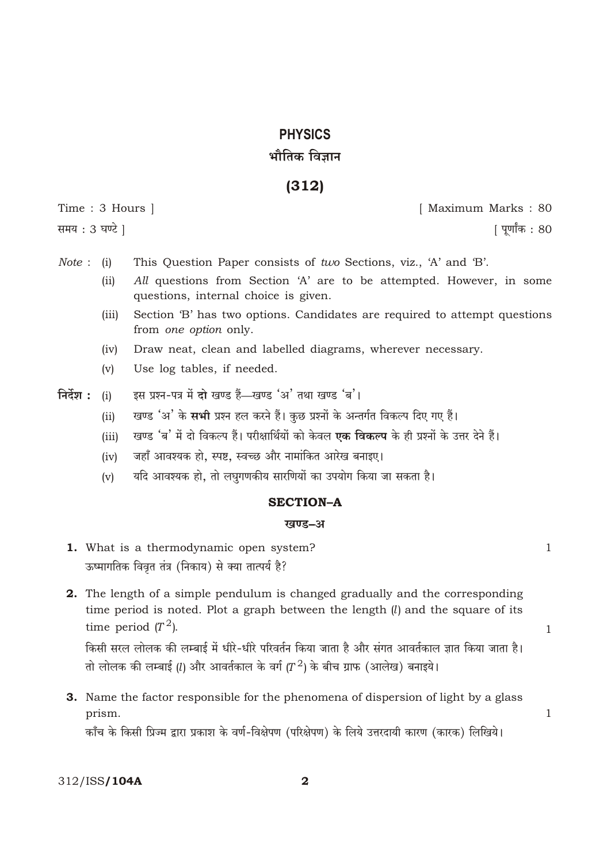# **PHYSICS** भौतिक विज्ञान

## $(312)$

Time: 3 Hours | समय: 3 घण्टे 1

[ Maximum Marks: 80

[ पूर्णांक : 80

- *Note* : (i) This Question Paper consists of two Sections, viz., 'A' and 'B'.
	- $(ii)$ All questions from Section 'A' are to be attempted. However, in some questions, internal choice is given.
	- Section 'B' has two options. Candidates are required to attempt questions  $(iii)$ from one option only.
	- Draw neat, clean and labelled diagrams, wherever necessary.  $(iv)$
	- $(v)$ Use log tables, if needed.
- इस प्रश्न-पत्र में दो खण्ड हैं-खण्ड 'अ' तथा खण्ड 'ब'। निर्देश $:$  $(i)$ 
	- खण्ड 'अ' के सभी प्रश्न हल करने हैं। कुछ प्रश्नों के अन्तर्गत विकल्प दिए गए हैं।  $(ii)$
	- खण्ड 'ब' में दो विकल्प हैं। परीक्षार्थियों को केवल **एक विकल्प** के ही प्रश्नों के उत्तर देने हैं।  $(iii)$
	- जहाँ आवश्यक हो, स्पष्ट, स्वच्छ और नामांकित आरेख बनाइए।  $(iv)$
	- यदि आवश्यक हो, तो लघुगणकीय सारणियों का उपयोग किया जा सकता है।  $(v)$

## **SECTION-A**

## खण्ड–अ

- 1. What is a thermodynamic open system? ऊष्मागतिक विवृत तंत्र (निकाय) से क्या तात्पर्य है?
- 2. The length of a simple pendulum is changed gradually and the corresponding time period is noted. Plot a graph between the length  $(l)$  and the square of its time period  $(T^2)$ .

किसी सरल लोलक की लम्बाई में धीरे-धीरे परिवर्तन किया जाता है और संगत आवर्तकाल ज्ञात किया जाता है। तो लोलक की लम्बाई (l) और आवर्तकाल के वर्ग ( $T^2$ ) के बीच ग्राफ (आलेख) बनाइये।

3. Name the factor responsible for the phenomena of dispersion of light by a glass prism.

काँच के किसी प्रिज्म द्वारा प्रकाश के वर्ण-विक्षेपण (परिक्षेपण) के लिये उत्तरदायी कारण (कारक) लिखिये।

 $\mathbf{1}$ 

 $\mathbf{1}$ 

 $\mathbf{1}$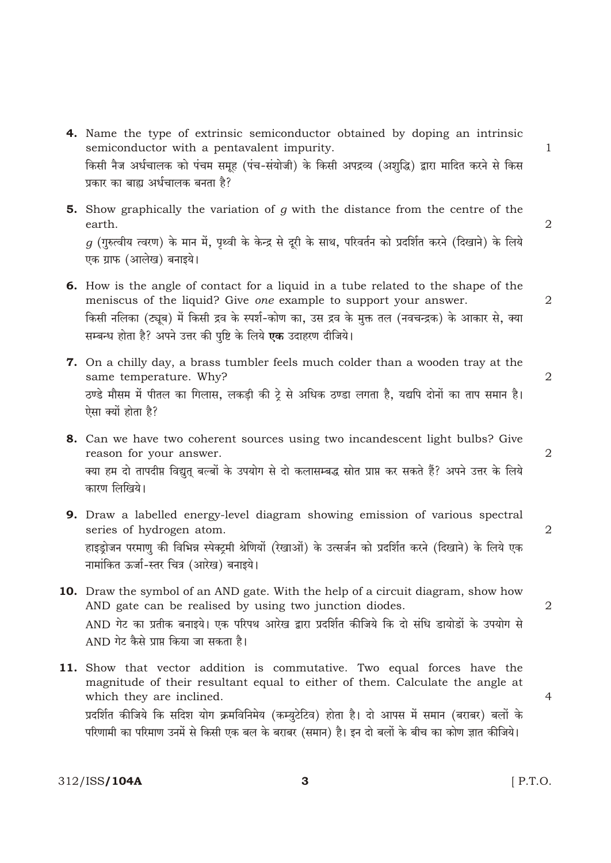- 4. Name the type of extrinsic semiconductor obtained by doping an intrinsic semiconductor with a pentavalent impurity. किसी नैज अर्धचालक को पंचम समूह (पंच-संयोजी) के किसी अपद्रव्य (अशुद्धि) द्वारा मादित करने से किस प्रकार का बाह्य अर्धचालक बनता है?
- **5.** Show graphically the variation of  $g$  with the distance from the centre of the earth.  $q$  (गुरुत्वीय त्वरण) के मान में, पृथ्वी के केन्द्र से दूरी के साथ, परिवर्तन को प्रदर्शित करने (दिखाने) के लिये एक ग्राफ (आलेख) बनाइये।
- 6. How is the angle of contact for a liquid in a tube related to the shape of the meniscus of the liquid? Give one example to support your answer. किसी नलिका (ट्यूब) में किसी द्रव के स्पर्श-कोण का, उस द्रव के मुक्त तल (नवचन्द्रक) के आकार से, क्या सम्बन्ध होता है? अपने उत्तर की पुष्टि के लिये एक उदाहरण दीजिये।
- 7. On a chilly day, a brass tumbler feels much colder than a wooden tray at the same temperature. Why? ठण्डे मौसम में पीतल का गिलास, लकडी की टे से अधिक ठण्डा लगता है, यद्यपि दोनों का ताप समान है। ऐसा क्यों होता है?
- 8. Can we have two coherent sources using two incandescent light bulbs? Give reason for your answer. क्या हम दो तापदीप्त विद्युत् बल्बों के उपयोग से दो कलासम्बद्ध स्रोत प्राप्त कर सकते हैं? अपने उत्तर के लिये कारण लिखिये।
- 9. Draw a labelled energy-level diagram showing emission of various spectral series of hydrogen atom. हाइड्रोजन परमाणु की विभिन्न स्पेक्ट्रमी श्रेणियों (रेखाओं) के उत्सर्जन को प्रदर्शित करने (दिखाने) के लिये एक नामांकित ऊर्जा-स्तर चित्र (आरेख) बनाइये।
- 10. Draw the symbol of an AND gate. With the help of a circuit diagram, show how AND gate can be realised by using two junction diodes. AND गेट का प्रतीक बनाइये। एक परिपथ आरेख द्वारा प्रदर्शित कीजिये कि दो संधि डायोडों के उपयोग से AND गेट कैसे प्राप्त किया जा सकता है।
- 11. Show that vector addition is commutative. Two equal forces have the magnitude of their resultant equal to either of them. Calculate the angle at which they are inclined. प्रदर्शित कीजिये कि सदिश योग क्रमविनिमेय (कम्युटेटिव) होता है। दो आपस में समान (बराबर) बलों के परिणामी का परिमाण उनमें से किसी एक बल के बराबर (समान) है। इन दो बलों के बीच का कोण ज्ञात कीजिये।

312/ISS/104A

 $\overline{2}$ 

 $\overline{2}$ 

 $\overline{2}$ 

 $\overline{2}$ 

 $\overline{4}$ 

 $\mathbf{1}$ 

 $\overline{2}$ 

 $\overline{2}$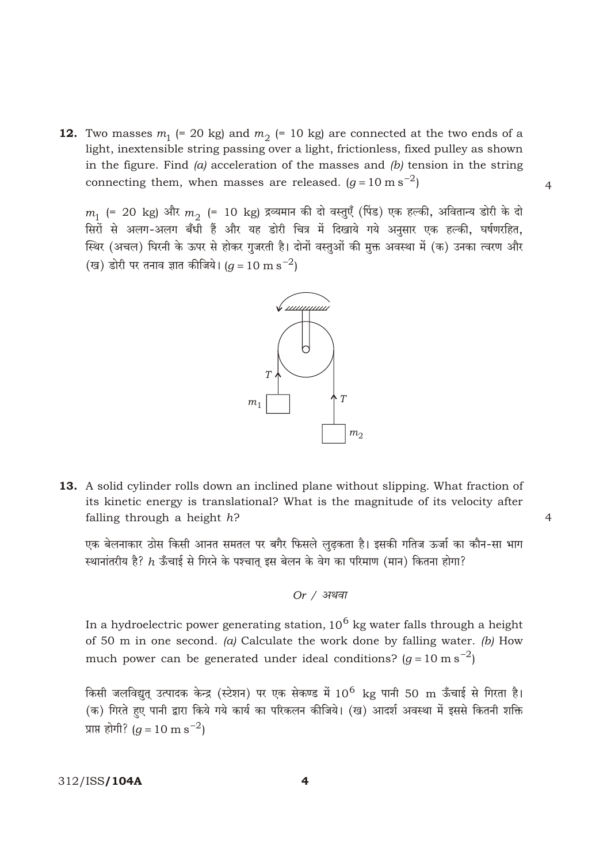**12.** Two masses  $m_1$  (= 20 kg) and  $m_2$  (= 10 kg) are connected at the two ends of a light, inextensible string passing over a light, frictionless, fixed pulley as shown in the figure. Find  $(a)$  acceleration of the masses and  $(b)$  tension in the string connecting them, when masses are released.  $(g \t 10 \text{ m s}^2)$ 

 $m_1$  (= 20 kg) और  $m_2$  (= 10 kg) द्रव्यमान की दो वस्तुएँ (पिंड) एक हल्की, अवितान्य डोरी के दो सिरों से अलग-अलग बँधी हैं और यह डोरी चित्र में दिखाये गये अनुसार एक हल्की, घर्षणरहित, स्थिर (अचल) घिरनी के ऊपर से होकर गुजरती है। दोनों वस्तुओं की मुक्त अवस्था में (क) उनका त्वरण और (ख) डोरी पर तनाव ज्ञात कीजिये। (*a* 10 m s  $^{2}$ )



13. A solid cylinder rolls down an inclined plane without slipping. What fraction of its kinetic energy is translational? What is the magnitude of its velocity after falling through a height  $h$ ?

एक बेलनाकार ठोस किसी आनत समतल पर बगैर फिसले लुढ़कता है। इसकी गतिज ऊर्जा का कौन-सा भाग स्थानांतरीय है?  $h$  ऊँचाई से गिरने के पश्चात इस बेलन के वेग का परिमाण (मान) कितना होगा?

In a hydroelectric power generating station,  $10^6$  kg water falls through a height of 50 m in one second. (a) Calculate the work done by falling water. (b) How much power can be generated under ideal conditions?  $(q \t 10 \text{ m s}^2)$ 

किसी जलविद्युत् उत्पादक केन्द्र (स्टेशन) पर एक सेकण्ड में  $10^6\,$  kg पानी 50  $\rm m$  ऊँचाई से गिरता है। (क) गिरते हुए पानी द्वारा किये गये कार्य का परिकलन कीजिये। (ख) आदर्श अवस्था में इससे कितनी शक्ति प्राप्त होगी?  $(g \ 10 \text{ m s}^{-2})$ 

 $\overline{\mathbf{4}}$ 

 $\overline{4}$ 

 $\overline{4}$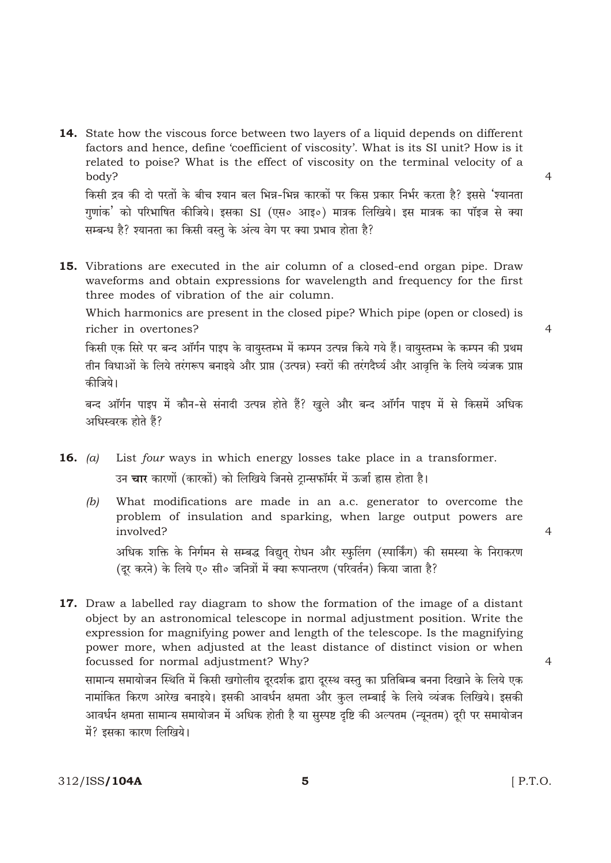14. State how the viscous force between two layers of a liquid depends on different factors and hence, define 'coefficient of viscosity'. What is its SI unit? How is it related to poise? What is the effect of viscosity on the terminal velocity of a body?

किसी द्रव की दो परतों के बीच श्यान बल भिन्न-भिन्न कारकों पर किस प्रकार निर्भर करता है? इससे 'श्यानता गुणांक' को परिभाषित कीजिये। इसका SI (एस० आइ०) मात्रक लिखिये। इस मात्रक का पॉइज से क्या सम्बन्ध है? श्यानता का किसी वस्तु के अंत्य वेग पर क्या प्रभाव होता है?

15. Vibrations are executed in the air column of a closed-end organ pipe. Draw waveforms and obtain expressions for wavelength and frequency for the first three modes of vibration of the air column.

Which harmonics are present in the closed pipe? Which pipe (open or closed) is richer in overtones?

किसी एक सिरे पर बन्द ऑर्गन पाइप के वायुस्तम्भ में कम्पन उत्पन्न किये गये हैं। वायुस्तम्भ के कम्पन की प्रथम तीन विधाओं के लिये तरंगरूप बनाइये और प्राप्त (उत्पन्न) स्वरों की तरंगदैर्घ्य और आवत्ति के लिये व्यंजक प्राप्त कीजिये।

बन्द ऑर्गन पाइप में कौन-से संनादी उत्पन्न होते हैं? खुले और बन्द ऑर्गन पाइप में से किसमें अधिक अधिस्वरक होते हैं?

- 16.  $(a)$ List four ways in which energy losses take place in a transformer. उन **चार** कारणों (कारकों) को लिखिये जिनसे टान्सफॉर्मर में ऊर्जा ह्रास होता है।
	- What modifications are made in an a.c. generator to overcome the  $(b)$ problem of insulation and sparking, when large output powers are involved?

अधिक शक्ति के निर्गमन से सम्बद्ध विद्युत् रोधन और स्फुलिंग (स्पार्किंग) की समस्या के निराकरण (दर करने) के लिये ए० सी० जनित्रों में क्या रूपान्तरण (परिवर्तन) किया जाता है?

17. Draw a labelled ray diagram to show the formation of the image of a distant object by an astronomical telescope in normal adjustment position. Write the expression for magnifying power and length of the telescope. Is the magnifying power more, when adjusted at the least distance of distinct vision or when focussed for normal adjustment? Why? सामान्य समायोजन स्थिति में किसी खगोलीय दरदर्शक द्वारा दरस्थ वस्तु का प्रतिबिम्ब बनना दिखाने के लिये एक नामांकित किरण आरेख बनाइये। इसकी आवर्धन क्षमता और कुल लम्बाई के लिये व्यंजक लिखिये। इसकी आवर्धन क्षमता सामान्य समायोजन में अधिक होती है या सुस्पष्ट दृष्टि की अल्पतम (न्युनतम) दूरी पर समायोजन में? इसका कारण लिखिये।

 $[$  P.T.O.

 $\overline{4}$ 

 $\overline{4}$ 

 $\overline{4}$ 

 $\overline{4}$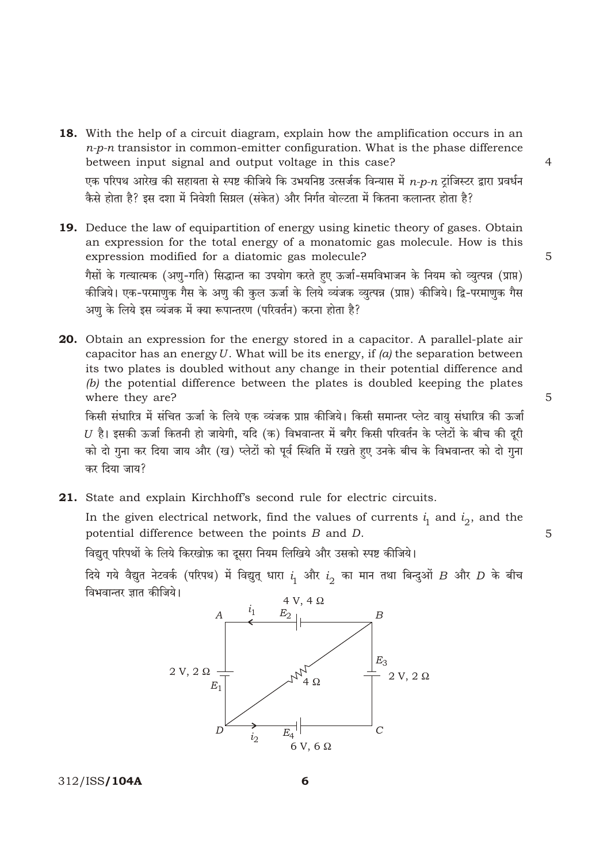- 18. With the help of a circuit diagram, explain how the amplification occurs in an  $n-p-n$  transistor in common-emitter configuration. What is the phase difference between input signal and output voltage in this case? एक परिपथ आरेख की सहायता से स्पष्ट कीजिये कि उभयनिष्ठ उत्सर्जक विन्यास में  $n$ - $p$ - $n$  ट्रांजिस्टर द्वारा प्रवर्धन कैसे होता है? इस दशा में निवेशी सिग्नल (संकेत) और निर्गत वोल्टता में कितना कलान्तर होता है?
- 19. Deduce the law of equipartition of energy using kinetic theory of gases. Obtain an expression for the total energy of a monatomic gas molecule. How is this expression modified for a diatomic gas molecule? गैसों के गत्यात्मक (अणु-गति) सिद्धान्त का उपयोग करते हुए ऊर्जा-समविभाजन के नियम को व्युत्पन्न (प्राप्त) कीजिये। एक-परमाणुक गैस के अणु की कुल ऊर्जा के लिये व्यंजक व्युत्पन्न (प्राप्त) कीजिये। द्वि-परमाणुक गैस अण के लिये इस व्यंजक में क्या रूपान्तरण (परिवर्तन) करना होता है?
- 20. Obtain an expression for the energy stored in a capacitor. A parallel-plate air capacitor has an energy  $U$ . What will be its energy, if  $(a)$  the separation between its two plates is doubled without any change in their potential difference and (b) the potential difference between the plates is doubled keeping the plates where they are? किसी संधारित्र में संचित ऊर्जा के लिये एक व्यंजक प्राप्त कीजिये। किसी समान्तर प्लेट वायु संधारित्र की ऊर्जा

 $U$  है। इसकी ऊर्जा कितनी हो जायेगी, यदि (क) विभवान्तर में बगैर किसी परिवर्तन के प्लेटों के बीच की दुरी को दो गुना कर दिया जाय और (ख) प्लेटों को पूर्व स्थिति में रखते हुए उनके बीच के विभवान्तर को दो गुना कर दिया जाय?

21. State and explain Kirchhoff's second rule for electric circuits.

In the given electrical network, find the values of currents  $i_1$  and  $i_2$ , and the potential difference between the points  $B$  and  $D$ .

विद्युत् परिपर्थो के लिये किरखोफ़ का दूसरा नियम लिखिये और उसको स्पष्ट कीजिये।

दिये गये वैद्युत नेटवर्क (परिपथ) में विद्युत् धारा  $i_1$  और  $i_2$  का मान तथा बिन्दुओं  $B$  और  $D$  के बीच विभवान्तर ज्ञात कीजिये।



312/ISS/104A

5

5

 $\overline{4}$ 

5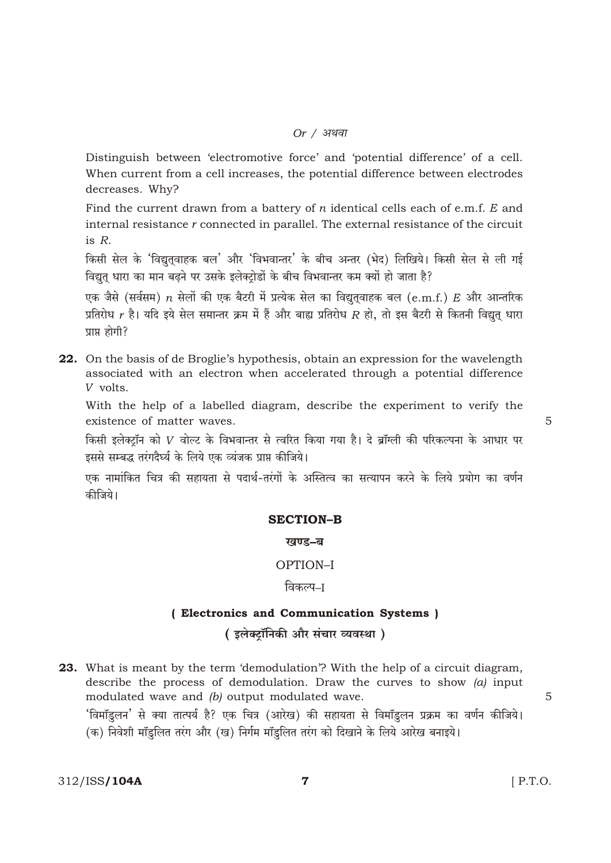#### *Or / अथवा*

Distinguish between 'electromotive force' and 'potential difference' of a cell. When current from a cell increases, the potential difference between electrodes decreases. Why?

Find the current drawn from a battery of  $n$  identical cells each of e.m.f.  $E$  and internal resistance r connected in parallel. The external resistance of the circuit is  $R$ .

किसी सेल के 'विद्युतवाहक बल' और 'विभवान्तर' के बीच अन्तर (भेद) लिखिये। किसी सेल से ली गई विद्युत् धारा का मान बढ़ने पर उसके इलेक्ट्रोडों के बीच विभवान्तर कम क्यों हो जाता है?

एक जैसे (सर्वसम)  $n$  सेलों की एक बैटरी में प्रत्येक सेल का विद्यतवाहक बल  $(e.m.f.)$   $E$  और आन्तरिक प्रतिरोध  $r$  है। यदि इये सेल समान्तर क्रम में हैं और बाह्य प्रतिरोध  $R$  हो, तो इस बैटरी से कितनी विद्युत् धारा प्राप्त होगी?

**22.** On the basis of de Broglie's hypothesis, obtain an expression for the wavelength associated with an electron when accelerated through a potential difference V volts.

With the help of a labelled diagram, describe the experiment to verify the existence of matter waves.

किसी इलेक्टॉन को V वोल्ट के विभवान्तर से त्वरित किया गया है। दे ब्रॉग्ली की परिकल्पना के आधार पर इससे सम्बद्ध तरंगदैर्घ्य के लिये एक व्यंजक प्राप्त कीजिये।

एक नामांकित चित्र की सहायता से पदार्थ-तरंगों के अस्तित्व का सत्यापन करने के लिये प्रयोग का वर्णन कीजिये।

#### **SECTION-B**

#### खण्ड-ब

## OPTION-I

#### विकल्प–ा

## (Electronics and Communication Systems) (इलेक्टॉनिकी और संचार व्यवस्था)

23. What is meant by the term 'demodulation'? With the help of a circuit diagram, describe the process of demodulation. Draw the curves to show  $(a)$  input modulated wave and (b) output modulated wave. 'विमॉडुलन' से क्या तात्पर्य है? एक चित्र (आरेख) की सहायता से विमॉडुलन प्रक्रम का वर्णन कीजिये। (क) निवेशी मॉडुलित तरंग और (ख) निर्गम मॉडुलित तरंग को दिखाने के लिये आरेख बनाइये।

 $\overline{7}$ 

5

5